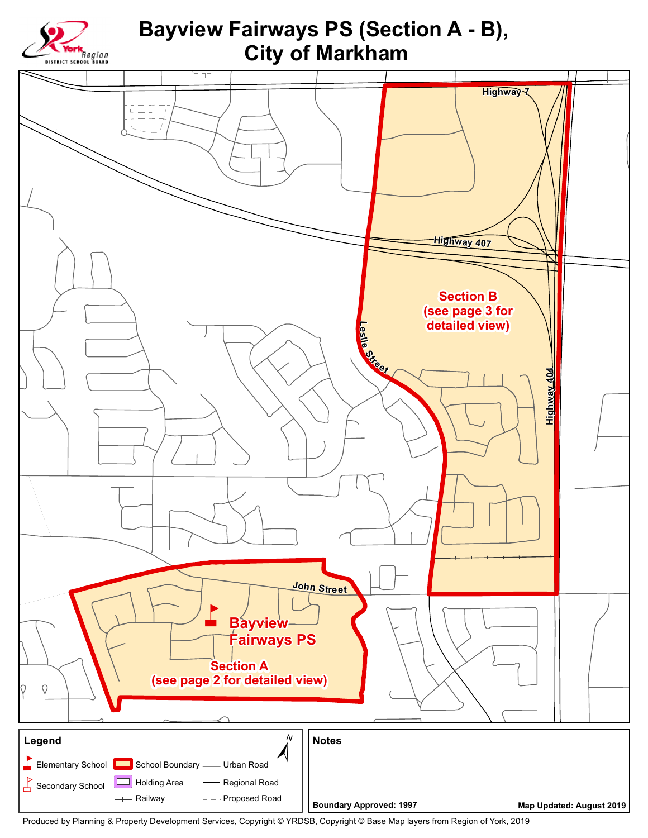

Produced by Planning & Property Development Services, Copyright © YRDSB, Copyright © Base Map layers from Region of York, 2019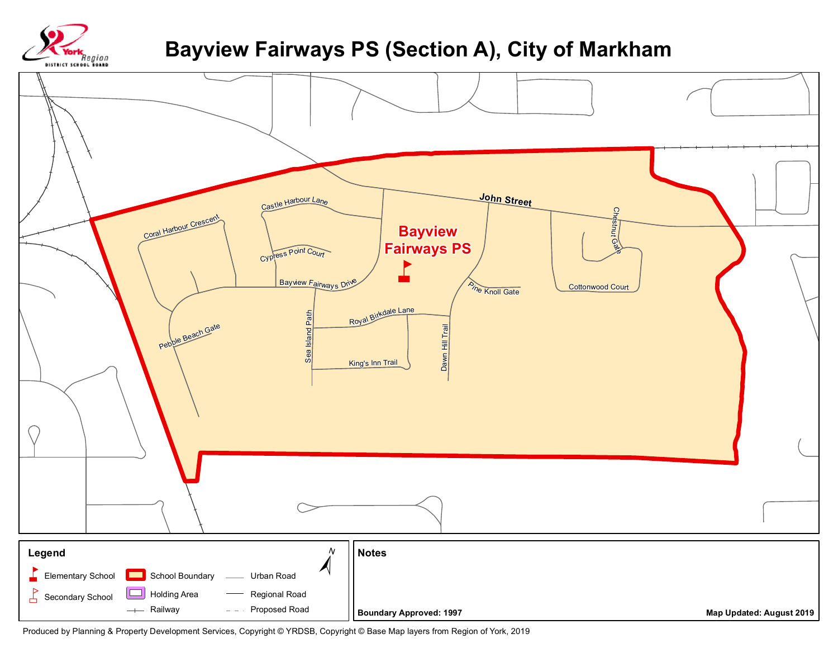

## **Bayview Fairways PS (Section A), City of Markham**



Produced by Planning & Property Development Services, Copyright © YRDSB, Copyright © Base Map layers from Region of York, 2019